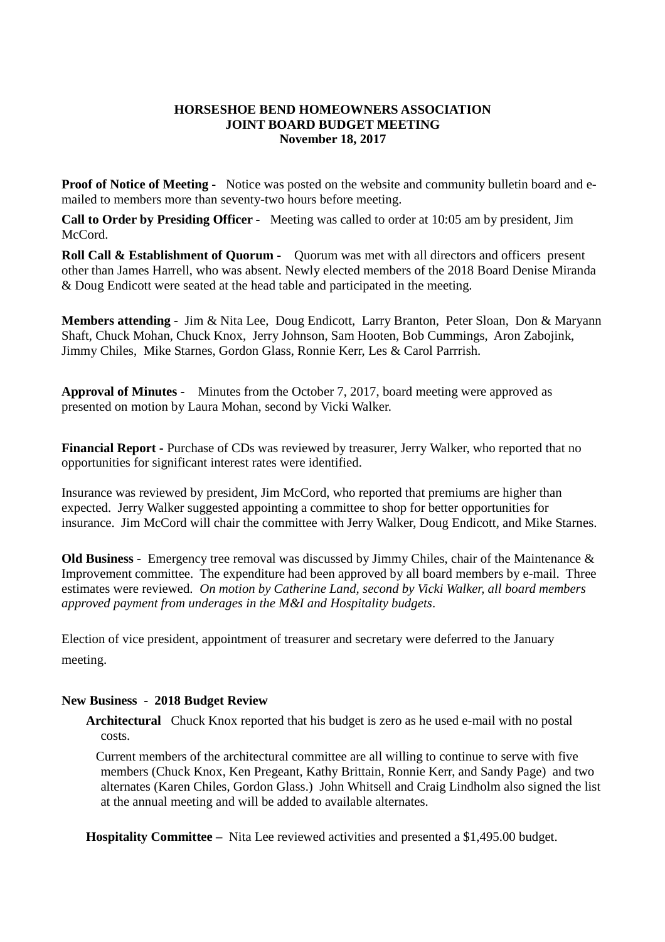## **HORSESHOE BEND HOMEOWNERS ASSOCIATION JOINT BOARD BUDGET MEETING November 18, 2017**

**Proof of Notice of Meeting -** Notice was posted on the website and community bulletin board and emailed to members more than seventy-two hours before meeting.

**Call to Order by Presiding Officer -** Meeting was called to order at 10:05 am by president, Jim McCord.

**Roll Call & Establishment of Quorum -** Quorum was met with all directors and officers present other than James Harrell, who was absent. Newly elected members of the 2018 Board Denise Miranda & Doug Endicott were seated at the head table and participated in the meeting.

**Members attending -** Jim & Nita Lee, Doug Endicott, Larry Branton, Peter Sloan, Don & Maryann Shaft, Chuck Mohan, Chuck Knox, Jerry Johnson, Sam Hooten, Bob Cummings, Aron Zabojink, Jimmy Chiles, Mike Starnes, Gordon Glass, Ronnie Kerr, Les & Carol Parrrish.

**Approval of Minutes -** Minutes from the October 7, 2017, board meeting were approved as presented on motion by Laura Mohan, second by Vicki Walker.

**Financial Report -** Purchase of CDs was reviewed by treasurer, Jerry Walker, who reported that no opportunities for significant interest rates were identified.

Insurance was reviewed by president, Jim McCord, who reported that premiums are higher than expected. Jerry Walker suggested appointing a committee to shop for better opportunities for insurance. Jim McCord will chair the committee with Jerry Walker, Doug Endicott, and Mike Starnes.

**Old Business -** Emergency tree removal was discussed by Jimmy Chiles, chair of the Maintenance & Improvement committee. The expenditure had been approved by all board members by e-mail. Three estimates were reviewed. *On motion by Catherine Land, second by Vicki Walker, all board members approved payment from underages in the M&I and Hospitality budgets*.

Election of vice president, appointment of treasurer and secretary were deferred to the January meeting.

## **New Business - 2018 Budget Review**

**Architectural** Chuck Knox reported that his budget is zero as he used e-mail with no postal costs.

Current members of the architectural committee are all willing to continue to serve with five members (Chuck Knox, Ken Pregeant, Kathy Brittain, Ronnie Kerr, and Sandy Page) and two alternates (Karen Chiles, Gordon Glass.) John Whitsell and Craig Lindholm also signed the list at the annual meeting and will be added to available alternates.

**Hospitality Committee –** Nita Lee reviewed activities and presented a \$1,495.00 budget.